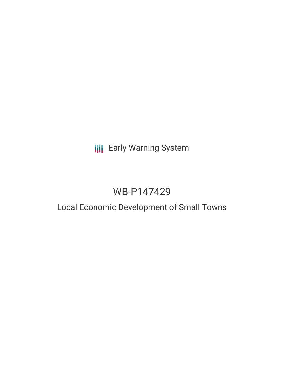# **III** Early Warning System

# WB-P147429

## Local Economic Development of Small Towns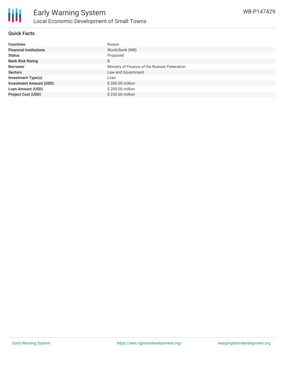

#### **Quick Facts**

| <b>Countries</b>               | Russia                                        |
|--------------------------------|-----------------------------------------------|
| <b>Financial Institutions</b>  | World Bank (WB)                               |
| <b>Status</b>                  | Proposed                                      |
| <b>Bank Risk Rating</b>        | B                                             |
| <b>Borrower</b>                | Ministry of Finance of the Russian Federation |
| <b>Sectors</b>                 | Law and Government                            |
| <b>Investment Type(s)</b>      | Loan                                          |
| <b>Investment Amount (USD)</b> | \$200.00 million                              |
| <b>Loan Amount (USD)</b>       | \$200.00 million                              |
| <b>Project Cost (USD)</b>      | $$250.00$ million                             |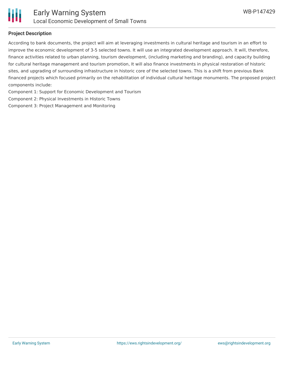

#### **Project Description**

According to bank documents, the project will aim at leveraging investments in cultural heritage and tourism in an effort to improve the economic development of 3-5 selected towns. It will use an integrated development approach. It will, therefore, finance activities related to urban planning, tourism development, (including marketing and branding), and capacity building for cultural heritage management and tourism promotion, It will also finance investments in physical restoration of historic sites, and upgrading of surrounding infrastructure in historic core of the selected towns. This is a shift from previous Bank financed projects which focused primarily on the rehabilitation of individual cultural heritage monuments. The proposed project components include:

Component 1: Support for Economic Development and Tourism

Component 2: Physical Investments in Historic Towns

Component 3: Project Management and Monitoring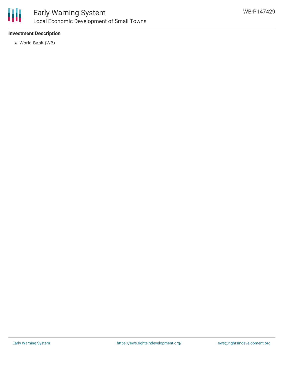

#### **Investment Description**

World Bank (WB)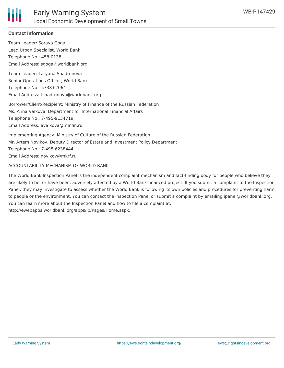

#### **Contact Information**

Team Leader: Soraya Goga Lead Urban Specialist, World Bank Telephone No.: 458-0138 Email Address: sgoga@worldbank.org

Team Leader: Tatyana Shadrunova Senior Operations Officer, World Bank Telephone No.: 5738+2064 Email Address: tshadrunova@worldbank.org

Borrower/Client/Recipient: Ministry of Finance of the Russian Federation Ms. Anna Valkova, Department for International Financial Affairs Telephone No.: 7-495-9134719 Email Address: avalkova@minfin.ru

Implementing Agency: Ministry of Culture of the Russian Federation Mr. Artem Novikov, Deputy Director of Estate and Investment Policy Department Telephone No.: 7-495-6238444 Email Address: novikov@mkrf.ru

ACCOUNTABILITY MECHANISM OF WORLD BANK

The World Bank Inspection Panel is the independent complaint mechanism and fact-finding body for people who believe they are likely to be, or have been, adversely affected by a World Bank-financed project. If you submit a complaint to the Inspection Panel, they may investigate to assess whether the World Bank is following its own policies and procedures for preventing harm to people or the environment. You can contact the Inspection Panel or submit a complaint by emailing ipanel@worldbank.org. You can learn more about the Inspection Panel and how to file a complaint at: http://ewebapps.worldbank.org/apps/ip/Pages/Home.aspx.